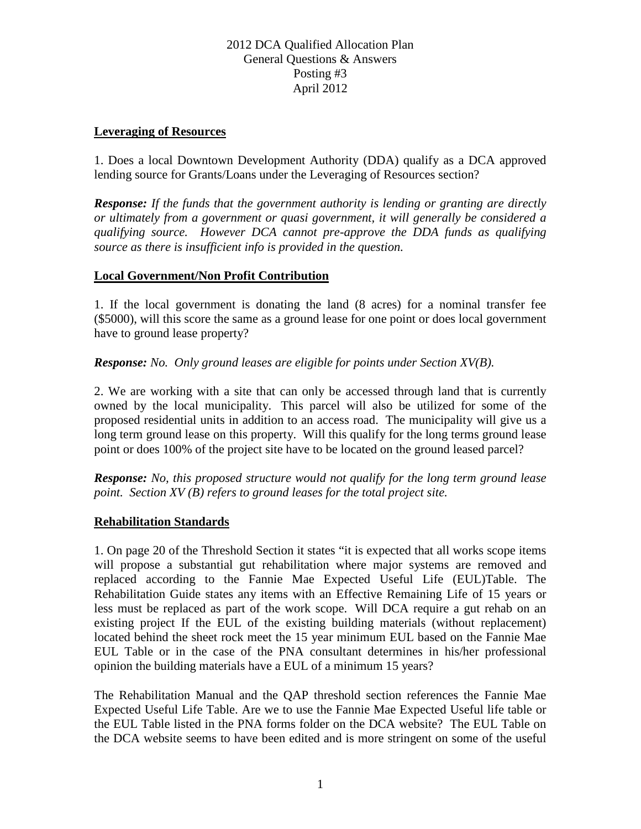# 2012 DCA Qualified Allocation Plan General Questions & Answers Posting #3 April 2012

#### **Leveraging of Resources**

1. Does a local Downtown Development Authority (DDA) qualify as a DCA approved lending source for Grants/Loans under the Leveraging of Resources section?

*Response: If the funds that the government authority is lending or granting are directly or ultimately from a government or quasi government, it will generally be considered a qualifying source. However DCA cannot pre-approve the DDA funds as qualifying source as there is insufficient info is provided in the question.* 

#### **Local Government/Non Profit Contribution**

1. If the local government is donating the land (8 acres) for a nominal transfer fee (\$5000), will this score the same as a ground lease for one point or does local government have to ground lease property?

#### *Response: No. Only ground leases are eligible for points under Section XV(B).*

2. We are working with a site that can only be accessed through land that is currently owned by the local municipality. This parcel will also be utilized for some of the proposed residential units in addition to an access road. The municipality will give us a long term ground lease on this property. Will this qualify for the long terms ground lease point or does 100% of the project site have to be located on the ground leased parcel?

*Response: No, this proposed structure would not qualify for the long term ground lease point.* Section XV (B) refers to ground leases for the total project site.

### **Rehabilitation Standards**

1. On page 20 of the Threshold Section it states "it is expected that all works scope items will propose a substantial gut rehabilitation where major systems are removed and replaced according to the Fannie Mae Expected Useful Life (EUL)Table. The Rehabilitation Guide states any items with an Effective Remaining Life of 15 years or less must be replaced as part of the work scope. Will DCA require a gut rehab on an existing project If the EUL of the existing building materials (without replacement) located behind the sheet rock meet the 15 year minimum EUL based on the Fannie Mae EUL Table or in the case of the PNA consultant determines in his/her professional opinion the building materials have a EUL of a minimum 15 years?

The Rehabilitation Manual and the QAP threshold section references the Fannie Mae Expected Useful Life Table. Are we to use the Fannie Mae Expected Useful life table or the EUL Table listed in the PNA forms folder on the DCA website? The EUL Table on the DCA website seems to have been edited and is more stringent on some of the useful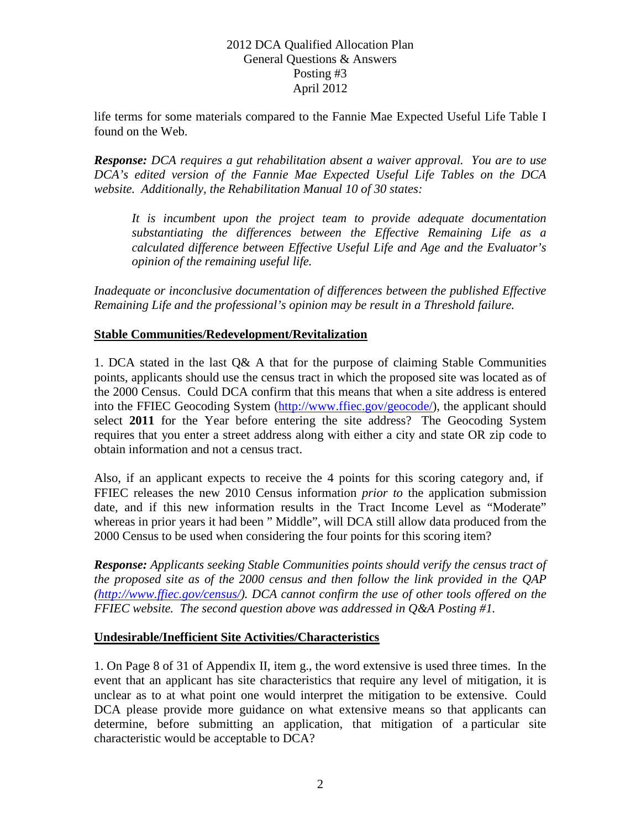# 2012 DCA Qualified Allocation Plan General Questions & Answers Posting #3 April 2012

life terms for some materials compared to the Fannie Mae Expected Useful Life Table I found on the Web.

*Response: DCA requires a gut rehabilitation absent a waiver approval. You are to use DCA's edited version of the Fannie Mae Expected Useful Life Tables on the DCA website. Additionally, the Rehabilitation Manual 10 of 30 states:*

*It is incumbent upon the project team to provide adequate documentation substantiating the differences between the Effective Remaining Life as a calculated difference between Effective Useful Life and Age and the Evaluator's opinion of the remaining useful life.*

*Inadequate or inconclusive documentation of differences between the published Effective Remaining Life and the professional's opinion may be result in a Threshold failure.* 

### **Stable Communities/Redevelopment/Revitalization**

1. DCA stated in the last Q& A that for the purpose of claiming Stable Communities points, applicants should use the census tract in which the proposed site was located as of the 2000 Census. Could DCA confirm that this means that when a site address is entered into the FFIEC Geocoding System [\(http://www.ffiec.gov/geocode/\)](http://www.ffiec.gov/geocode/), the applicant should select **2011** for the Year before entering the site address? The Geocoding System requires that you enter a street address along with either a city and state OR zip code to obtain information and not a census tract.

Also, if an applicant expects to receive the 4 points for this scoring category and, if FFIEC releases the new 2010 Census information *prior to* the application submission date, and if this new information results in the Tract Income Level as "Moderate" whereas in prior years it had been " Middle", will DCA still allow data produced from the 2000 Census to be used when considering the four points for this scoring item?

*Response: Applicants seeking Stable Communities points should verify the census tract of the proposed site as of the 2000 census and then follow the link provided in the QAP [\(http://www.ffiec.gov/census/\)](http://www.ffiec.gov/census/). DCA cannot confirm the use of other tools offered on the FFIEC website. The second question above was addressed in Q&A Posting #1.*

# **Undesirable/Inefficient Site Activities/Characteristics**

1. On Page 8 of 31 of Appendix II, item g., the word extensive is used three times. In the event that an applicant has site characteristics that require any level of mitigation, it is unclear as to at what point one would interpret the mitigation to be extensive. Could DCA please provide more guidance on what extensive means so that applicants can determine, before submitting an application, that mitigation of a particular site characteristic would be acceptable to DCA?